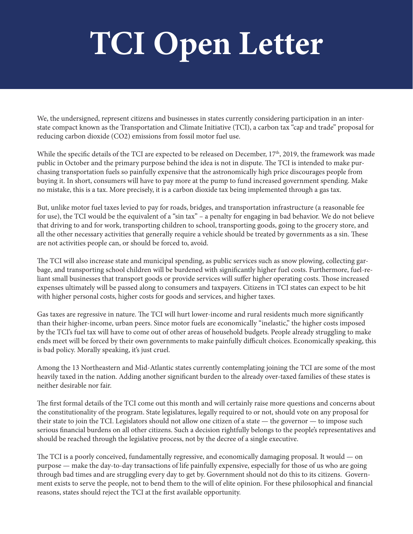## **TCI Open Letter**

We, the undersigned, represent citizens and businesses in states currently considering participation in an interstate compact known as the Transportation and Climate Initiative (TCI), a carbon tax "cap and trade" proposal for reducing carbon dioxide (CO2) emissions from fossil motor fuel use.

While the specific details of the TCI are expected to be released on December, 17<sup>th</sup>, 2019, the framework was made public in October and the primary purpose behind the idea is not in dispute. The TCI is intended to make purchasing transportation fuels so painfully expensive that the astronomically high price discourages people from buying it. In short, consumers will have to pay more at the pump to fund increased government spending. Make no mistake, this is a tax. More precisely, it is a carbon dioxide tax being implemented through a gas tax.

But, unlike motor fuel taxes levied to pay for roads, bridges, and transportation infrastructure (a reasonable fee for use), the TCI would be the equivalent of a "sin tax" – a penalty for engaging in bad behavior. We do not believe that driving to and for work, transporting children to school, transporting goods, going to the grocery store, and all the other necessary activities that generally require a vehicle should be treated by governments as a sin. These are not activities people can, or should be forced to, avoid.

The TCI will also increase state and municipal spending, as public services such as snow plowing, collecting garbage, and transporting school children will be burdened with significantly higher fuel costs. Furthermore, fuel-reliant small businesses that transport goods or provide services will suffer higher operating costs. Those increased expenses ultimately will be passed along to consumers and taxpayers. Citizens in TCI states can expect to be hit with higher personal costs, higher costs for goods and services, and higher taxes.

Gas taxes are regressive in nature. The TCI will hurt lower-income and rural residents much more significantly than their higher-income, urban peers. Since motor fuels are economically "inelastic," the higher costs imposed by the TCI's fuel tax will have to come out of other areas of household budgets. People already struggling to make ends meet will be forced by their own governments to make painfully difficult choices. Economically speaking, this is bad policy. Morally speaking, it's just cruel.

Among the 13 Northeastern and Mid-Atlantic states currently contemplating joining the TCI are some of the most heavily taxed in the nation. Adding another significant burden to the already over-taxed families of these states is neither desirable nor fair.

The first formal details of the TCI come out this month and will certainly raise more questions and concerns about the constitutionality of the program. State legislatures, legally required to or not, should vote on any proposal for their state to join the TCI. Legislators should not allow one citizen of a state — the governor — to impose such serious financial burdens on all other citizens. Such a decision rightfully belongs to the people's representatives and should be reached through the legislative process, not by the decree of a single executive.

The TCI is a poorly conceived, fundamentally regressive, and economically damaging proposal. It would — on purpose — make the day-to-day transactions of life painfully expensive, especially for those of us who are going through bad times and are struggling every day to get by. Government should not do this to its citizens. Government exists to serve the people, not to bend them to the will of elite opinion. For these philosophical and financial reasons, states should reject the TCI at the first available opportunity.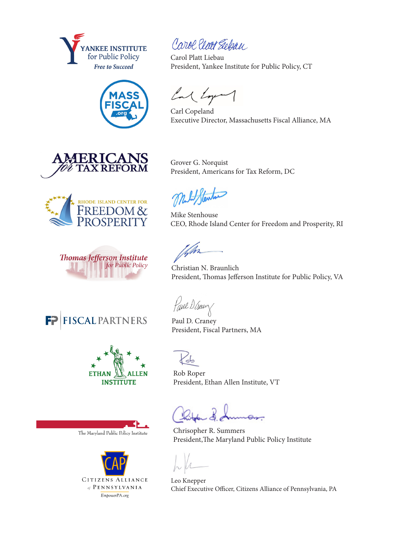













The Maryland Public Policy Institute



Carol Place Siebau

Carol Platt Liebau President, Yankee Institute for Public Policy, CT

Cal Lyon

Carl Copeland Executive Director, Massachusetts Fiscal Alliance, MA

Grover G. Norquist President, Americans for Tax Reform, DC

Mike Stenhouse CEO, Rhode Island Center for Freedom and Prosperity, RI

Christian N. Braunlich President, Thomas Jefferson Institute for Public Policy, VA

Paul D. Genry

Paul D. Craney President, Fiscal Partners, MA

Ъ

Rob Roper President, Ethan Allen Institute, VT

Chrisopher R. Summers President,The Maryland Public Policy Institute

Leo Knepper Chief Executive Officer, Citizens Alliance of Pennsylvania, PA